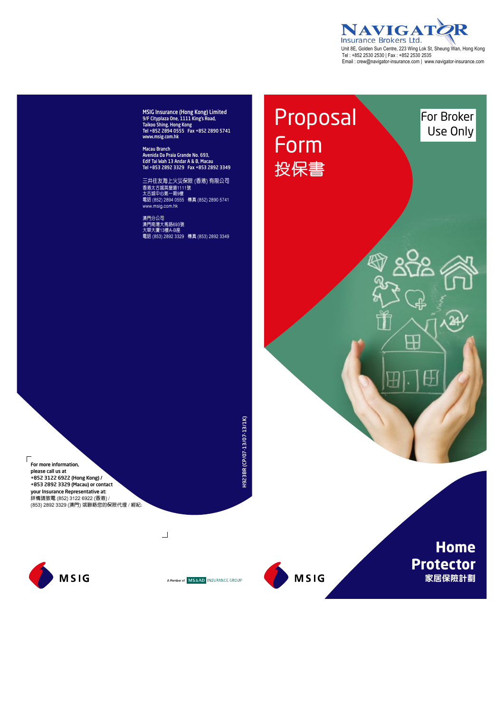**NAVIGATOR** Unit 8E, Golden Sun Centre, 223 Wing Lok St, Sheung Wan, Hong Kong  Tel : +852 2530 2530 | Fax : +852 2530 2535 Email : crew@navigator -insurance.com | www.navigator -insurance.com

⊞

Ħ

叿

౮

For Broker Use Only

Proposal

Form

投保書

MSIG Insurance (Hong Kong) Limited 9/F Cityplaza One, 1111 King's Road, Taikoo Shing, Hong Kong Tel +852 2894 0555 Fax +852 2890 5741 www.msig.com.hk

Macau Branch Avenida Da Praia Grande No. 693, Edif Tai Wah 13 Andar A & B, Macau Tel +853 2892 3329 Fax +853 2892 3349

三井住友海上火災保險 (香港) 有限公司 香港太古城英皇道1111號 太古城中心第一期9樓 電話 (852) 2894 0555 傳真 (852) 2890 5741 www.msig.com.hk

澳門分公司 澳門南灣大馬路693號 大華大廈13樓A-B座 電話 (853) 2892 3329 傳真 (853) 2892 3349

 $\sqrt{ }$ For more information, please call us at +852 3122 6922 (Hong Kong) / +853 2892 3329 (Macau) or contact your Insurance Representative at: 詳情請致電 (852) 3122 6922 (香港) / (853) 2892 3329 (澳門) 或聯絡您的保險代理 / 經紀:



A Member of MS&AD INSURANCE GROUP

 $\Box$ 

H923BR (CP/07-13/07-13/1K)

H923BR (CP/07-13/07-13/1K)



**Home Protector 家居保險計劃**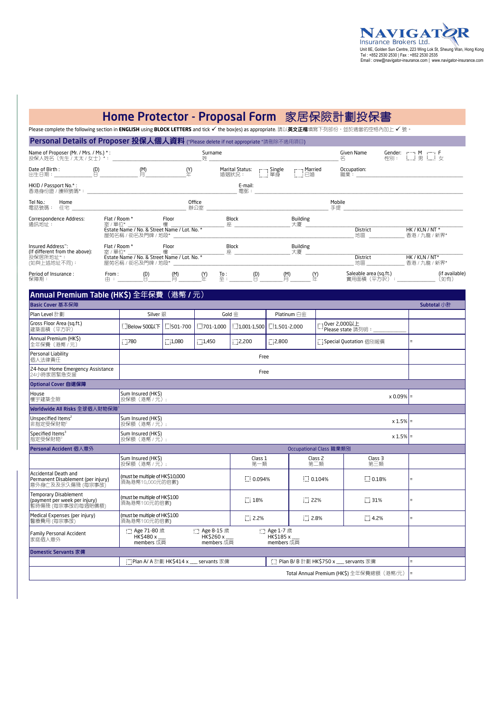### Home Protector - Proposal Form 家居保險計劃投保書 - Proposal Form a

Please complete the following section in **ENGLISH** using **BLOCK LETTERS** and tick 9 the box(es) as appropriate. 請以**英文正楷**填寫下列部份,並於適當的空格內加上 9 號。

Personal Details of <u>Dreposer 枳</u> 圓儿圈儿 / 图

| <b>「CI SONIGI DELGIIS OI FI OPOSEI 仅休入凹入貝杆</b> ("Please delete it not appropriate "請删除个週用項日) |                                                                                                                                                                                                                                                                                                                                     |                                                                                                                                             |                                  |                                                                         |                                       |                                  |                                       |                                                                  |  |  |  |  |  |
|----------------------------------------------------------------------------------------------|-------------------------------------------------------------------------------------------------------------------------------------------------------------------------------------------------------------------------------------------------------------------------------------------------------------------------------------|---------------------------------------------------------------------------------------------------------------------------------------------|----------------------------------|-------------------------------------------------------------------------|---------------------------------------|----------------------------------|---------------------------------------|------------------------------------------------------------------|--|--|--|--|--|
| Name of Proposer (Mr. / Mrs. / Ms.) *:<br>投保人姓名 (先生 / 太太 / 女士) *:                            |                                                                                                                                                                                                                                                                                                                                     |                                                                                                                                             | Surname<br>姓                     |                                                                         |                                       |                                  | Given Name                            | Gender:                            <br>性別:         男           女 |  |  |  |  |  |
|                                                                                              | M <sub>1</sub>                                                                                                                                                                                                                                                                                                                      |                                                                                                                                             | $\frac{(\mathsf{Y})}{\#}$        |                                                                         | 婚姻狀況: ………………… 單身                      | Marital Status:  Single  Married | Occupation:<br> 職業 : またまま ! またま ! またま |                                                                  |  |  |  |  |  |
| HKID / Passport No.*:<br>香港身份證/護照號碼*: いっこう しょうしょう しんこうしょう かいしん あいしん かいしん                     |                                                                                                                                                                                                                                                                                                                                     |                                                                                                                                             |                                  |                                                                         |                                       |                                  |                                       |                                                                  |  |  |  |  |  |
| Tel No.:<br>Home<br>電話號碼: 住宅 みんしん しゅうしゅう かいしん                                                |                                                                                                                                                                                                                                                                                                                                     |                                                                                                                                             | Office                           | 辦公室                                                                     |                                       |                                  | Mobile<br>手提                          |                                                                  |  |  |  |  |  |
| Correspondence Address:<br>通訊地址:                                                             | Flat / Room *                                                                                                                                                                                                                                                                                                                       | <b>Eloor</b><br>  室 / 單位*  すいすい すいすい すいじょう はんしゃ はんしゃ はんしゃ はんしゃ<br>Estate Name / No. & Street Name / Lot. No. *                              |                                  | Block<br>座<br>屋苑名稱 / 街名及門牌 / 地段* カランド アイトランド しゅうしょう しんこうしゅう しんしゅう しんしゅう |                                       | Building<br>大廈                   | District<br>地區                        | HK / KLN / NT *<br>香港 / 九龍 / 新界*                                 |  |  |  |  |  |
| Insured Address":<br>(If different from the above):<br>投保居所地址~:<br>(如與上述地址不同):               |                                                                                                                                                                                                                                                                                                                                     | Flat / Room * Floor<br>室 / 單位* すいすいすい 樓 いんじょう はんしょう すいちょう<br>Estate Name / No. & Street Name / Lot. No. *<br>屋苑名稱 / 街名及門牌 / 地段* ファンド アイトリック |                                  | Block<br>座 ________                                                     |                                       | <b>Building</b><br>大廈            | <b>District</b>                       | HK / KLN / NT*<br>地區 香港 / 九龍 / 新界*                               |  |  |  |  |  |
| Period of Insurance:<br>保障期:                                                                 | $\begin{matrix} 1 & 0 & 0 \\ 0 & 1 & 0 \\ 0 & 0 & 0 \\ 0 & 0 & 0 \\ 0 & 0 & 0 \\ 0 & 0 & 0 \\ 0 & 0 & 0 \\ 0 & 0 & 0 \\ 0 & 0 & 0 \\ 0 & 0 & 0 \\ 0 & 0 & 0 \\ 0 & 0 & 0 \\ 0 & 0 & 0 \\ 0 & 0 & 0 \\ 0 & 0 & 0 \\ 0 & 0 & 0 & 0 \\ 0 & 0 & 0 & 0 \\ 0 & 0 & 0 & 0 \\ 0 & 0 & 0 & 0 \\ 0 & 0 & 0 & 0 \\ 0 & 0 & 0 & 0 & 0 \\ 0 & 0$ |                                                                                                                                             | $\mathfrak{m}$<br>$\binom{Y}{+}$ | $\frac{\text{To}}{\oplus}$ :                                            | $\binom{D}{1}$<br>$\stackrel{(M)}{=}$ | <u>(Y</u> )                      | Saleable area (sq.ft.)                | (if available)<br>(如有)                                           |  |  |  |  |  |
| Annual Premium Table (HK\$) 全年保費 (港幣 / 元)                                                    |                                                                                                                                                                                                                                                                                                                                     |                                                                                                                                             |                                  |                                                                         |                                       |                                  |                                       |                                                                  |  |  |  |  |  |

| Basic Cover 基本保障<br>Subtotal 小計                                                    |                                                    |                              |                                                    |                                 |                                                   |                           |              |                                           |          |  |  |  |  |
|------------------------------------------------------------------------------------|----------------------------------------------------|------------------------------|----------------------------------------------------|---------------------------------|---------------------------------------------------|---------------------------|--------------|-------------------------------------------|----------|--|--|--|--|
| Plan Level 計劃                                                                      | Silver 銀                                           |                              |                                                    | Gold $\Leftrightarrow$          | Platinum 白金                                       |                           |              |                                           |          |  |  |  |  |
| Gross Floor Area (sq.ft.)<br>建築面積 (平方呎)                                            | Below 500以下                                        | $1.501 - 700$                | $1.301 - 1.000$                                    | $1.001 - 1.500$ $1.501 - 2.000$ |                                                   |                           | Over 2.000以上 | Please state 請列明:                         |          |  |  |  |  |
| Annual Premium (HK\$)<br>全年保費 (港幣 / 元)                                             | $\sim$ 780                                         | 1,080                        | 1,450                                              | 2,200                           | 2,800                                             |                           |              | [1] Special Quotation 個別報價                | $\equiv$ |  |  |  |  |
| Personal Liability<br>個人法律責任                                                       |                                                    |                              |                                                    |                                 |                                                   |                           |              |                                           |          |  |  |  |  |
| 24-hour Home Emergency Assistance<br>24小時家居緊急支援                                    |                                                    |                              |                                                    |                                 |                                                   |                           |              |                                           |          |  |  |  |  |
| Optional Cover 自選保障                                                                |                                                    |                              |                                                    |                                 |                                                   |                           |              |                                           |          |  |  |  |  |
| House<br>Sum Insured (HK\$)<br>$\times 0.09\%$ =<br>樓宇建築全險<br>投保額 (港幣 / 元):        |                                                    |                              |                                                    |                                 |                                                   |                           |              |                                           |          |  |  |  |  |
| Worldwide All Risks 全球個人財物保障                                                       |                                                    |                              |                                                    |                                 |                                                   |                           |              |                                           |          |  |  |  |  |
| Unspecified Items <sup>2</sup><br>非指定受保財物                                          | Sum Insured (HK\$)                                 | $x 1.5\%$ =<br>投保額 (港幣 /元):  |                                                    |                                 |                                                   |                           |              |                                           |          |  |  |  |  |
| Specified Items <sup>3</sup><br>指定受保財物3                                            | Sum Insured (HK\$)                                 | $x 1.5\%$ =<br>投保額 (港幣 / 元): |                                                    |                                 |                                                   |                           |              |                                           |          |  |  |  |  |
| Personal Accident 個人意外                                                             | Occupational Class 職業類別                            |                              |                                                    |                                 |                                                   |                           |              |                                           |          |  |  |  |  |
|                                                                                    | Sum Insured (HK\$)<br>投保額 (港幣 / 元):                |                              |                                                    | Class 1<br>第一類                  |                                                   | Class <sub>2</sub><br>第二類 |              | Class 3<br>第三類                            |          |  |  |  |  |
| Accidental Death and<br>Permanent Disablement (per injury)<br>意外身亡及及永久傷殘 (每宗事故)    | (must be multiple of HK\$10,000<br>須為港幣10,000元的倍數) |                              |                                                    | 1.1 0.094%                      |                                                   | 1.104%                    |              | $\Box$ 0.18%                              | ٠        |  |  |  |  |
| <b>Temporary Disablement</b><br>(payment per week per injury)<br>暫時傷殘 (每宗事故的每週賠償額) | (must be multiple of HK\$100<br>須為港幣100元的倍數)       |                              |                                                    | : 18%                           |                                                   | : 22%                     |              | $\therefore$ 31%                          | ٠        |  |  |  |  |
| Medical Expenses (per injury)<br>醫療費用 (每宗事故)                                       | (must be multiple of HK\$100<br>須為港幣100元的倍數)       |                              |                                                    | $\cdots$ 2.2%                   |                                                   | $\therefore$ 2.8%         |              | $4.2\%$                                   | $=$      |  |  |  |  |
| Family Personal Accident<br>家庭個人意外                                                 | :" Age 71-80 歲<br>HK\$480 x<br>members 成員          |                              | $\therefore$ Age 8-15 歲<br>HK\$260 x<br>members 成員 |                                 | $\therefore$ Age 1-7 歲<br>HK\$185 x<br>members 成員 |                           |              |                                           |          |  |  |  |  |
| Domestic Servants 家傭                                                               |                                                    |                              |                                                    |                                 |                                                   |                           |              |                                           |          |  |  |  |  |
|                                                                                    | : Plan A/ A 計劃 HK\$414 x servants 家傭               |                              |                                                    |                                 |                                                   |                           |              | [.] Plan B/ B 計劃 HK\$750 x __ servants 家備 | $=$      |  |  |  |  |
|                                                                                    |                                                    |                              |                                                    |                                 |                                                   |                           |              | Total Annual Premium (HK\$) 全年保費總額 (港幣/元) | E        |  |  |  |  |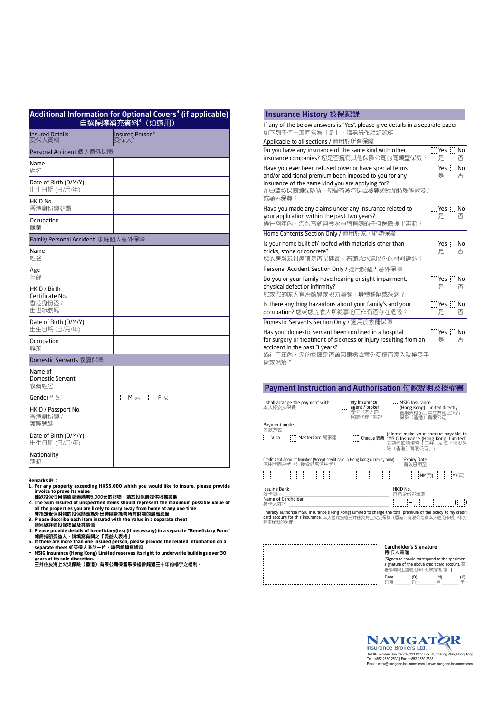| Additional Information for Optional Covers <sup>4</sup> (if applicable) |                                       |                                                |                                                                                                                         |  |  |  |
|-------------------------------------------------------------------------|---------------------------------------|------------------------------------------------|-------------------------------------------------------------------------------------------------------------------------|--|--|--|
|                                                                         | <b>Insured Details</b><br>受保人資料       | 自選保障補充資料4 (如適用)<br>Insured Person <sup>5</sup> | If any of the below answers is "Yes", I<br>如下列任何一項回答為「是」,請另<br>Applicable to all sections / 適用於所                        |  |  |  |
|                                                                         | Personal Accident 個人意外保障              |                                                | Do you have any insurance of the sar                                                                                    |  |  |  |
|                                                                         | Name<br>姓名                            |                                                | insurance companies? 您是否擁有其<br>Have you ever been refused cover or                                                      |  |  |  |
|                                                                         | Date of Birth (D/M/Y)<br>出生日期 (日/月/年) |                                                | and/or additional premium been impo<br>insurance of the same kind you are a<br>在申請投保同類保險時,您曾否被拒                         |  |  |  |
|                                                                         | HKID No.<br>香港身份證號碼                   |                                                | 或額外保費?<br>Have you made any claims under any                                                                            |  |  |  |
|                                                                         | Occupation<br>職業                      |                                                | your application within the past two<br>過往兩年內,您曾否就與今次申請有                                                                |  |  |  |
|                                                                         | Family Personal Accident 家庭個人意外保障     |                                                | Home Contents Section Only / 適用於                                                                                        |  |  |  |
|                                                                         | Name<br>姓名                            |                                                | Is your home built of/roofed with ma<br>bricks, stone or concrete?<br>您的居所及其屋頂是否以磚瓦、石頭                                  |  |  |  |
|                                                                         | Age<br>年齡                             |                                                | Personal Accident Section Only / 適用                                                                                     |  |  |  |
|                                                                         | HKID / Birth<br>Certificate No.       |                                                | Do you or your family have hearing o<br>physical defect or infirmity?<br>您或您的家人有否聽覺或視力障礙、.                              |  |  |  |
|                                                                         | 香港身份證 /<br>出世紙號碼                      |                                                | Is there anything hazardous about yo<br>occupation? 您或您的家人所從事的I                                                         |  |  |  |
|                                                                         | Date of Birth (D/M/Y)<br>出生日期 (日/月/年) |                                                | Domestic Servants Section Only / 適                                                                                      |  |  |  |
|                                                                         | Occupation<br>職業                      |                                                | Has your domestic servant been conf<br>for surgery or treatment of sickness<br>accident in the past 3 years?            |  |  |  |
|                                                                         | Domestic Servants 家傭保障                |                                                | 過往三年內,您的家傭是否曾因患病!<br>術或治療?                                                                                              |  |  |  |
|                                                                         | Name of<br>Domestic Servant<br>家傭姓名   |                                                |                                                                                                                         |  |  |  |
|                                                                         | Gender 性別                             | □ M男 □ F女                                      | <b>Payment Instruction and A</b>                                                                                        |  |  |  |
|                                                                         | HKID / Passport No.<br>香港身份證 /        |                                                | I shall arrange the payment with<br>$\begin{array}{c} \dots & \text{my i} \\ \dots & \text{age} \end{array}$<br>本人將安排保費 |  |  |  |
|                                                                         | 護照號碼<br>Date of Birth (D/M/Y)         |                                                | Payment mode<br>付款方式                                                                                                    |  |  |  |
|                                                                         | 出生日期(日/月/年)                           |                                                | $\frac{1}{2}$ Visa<br>[1] MasterCard 萬事達                                                                                |  |  |  |
|                                                                         | Nationality<br>國籍                     |                                                | Credit Card Account Number (Accept credit card in Hong<br>信田卡賑丘號 (只接受港憋信田卡)                                             |  |  |  |

- Remarks 註:<br>in For any property exceeding HK\$5,000 which you would like to insure, please provide<br>invoice to prove its value<br>如欲投保任何價值超過港幣5,000元的財物,請於投保時提供收據證明
- **2. The Sum Insured of unspecified items should represent the maximum possible value of all the properties you are likely to carry away from home at any one time 非指定受保財物的投保額應為外出時隨身攜帶所有財物的最高總額**
- 
- 
- 
- 
- 3. Please describe each item insured with the value in a separate sheet<br>【精另紙詳述投保物品及其價值<br>4. Please provide details of beneficiary(ies) (if necessary) in a separate "Beneficiary Form"<br>如需指明受益人,請填寫有關之「受益人表格」<br>5. If there are m

| If any of the below answers is "Yes", please give details in a separate paper<br>如下列任何一項回答為「是」,請另紙作詳細說明                                                                                                         |                                 |   |
|-----------------------------------------------------------------------------------------------------------------------------------------------------------------------------------------------------------------|---------------------------------|---|
| Applicable to all sections / 適用於所有保障                                                                                                                                                                            |                                 |   |
| Do you have any insurance of the same kind with other<br>insurance companies? 您是否擁有其他保險公司的同類型保險?                                                                                                                | <b>Tives No</b><br>是            | 否 |
| Have you ever been refused cover or have special terms<br>and/or additional premium been imposed to you for any<br>insurance of the same kind you are applying for?<br>在申請投保同類保險時,您曾否被拒保或被要求附加特殊條款及 /<br>或額外保費? | <b>Tives</b> No<br>是            | 否 |
| Have you made any claims under any insurance related to<br>your application within the past two years?<br>過往兩年內,您曾否就與今次申請有關的任何保險提出索賠?                                                                           | <b>Ti</b> Yes <b>Ti No</b><br>是 | 否 |
| Home Contents Section Only / 適用於家居財物保障                                                                                                                                                                          |                                 |   |
| Is your home built of/ roofed with materials other than<br>bricks, stone or concrete?<br>您的居所及其屋頂是否以磚瓦、石頭或水泥以外的材料建造?                                                                                            | <b>Ti</b> Yes <b>Ti</b> No<br>是 | 否 |
| Personal Accident Section Only / 適用於個人意外保障                                                                                                                                                                      |                                 |   |
| Do you or your family have hearing or sight impairment,<br>physical defect or infirmity?<br>您或您的家人有否聽覺或視力障礙、身體缺陷或疾病?                                                                                            | <b>Ti</b> Yes <b>Ti</b> No<br>是 | 否 |
| Is there anything hazardous about your family's and your<br>occupation?您或您的家人所從事的工作有否存在危險?                                                                                                                      | <b>Till Yes The No</b><br>是     | 否 |
| Domestic Servants Section Only / 適用於家傭保障                                                                                                                                                                        |                                 |   |
| Has your domestic servant been confined in a hospital<br>for surgery or treatment of sickness or injury resulting from an<br>accident in the past 3 years?<br>過往三年內,您的家傭是否曾因患病或意外受傷而需入院接受手<br>術或治療?             | <b>TillYes Till</b> No<br>是     | 否 |

### Payment Instruction and Authorisation 付款說明及授權書

| I shall arrange the payment with<br>本人將安排保費                                                     | , my insurance<br>[11] agent / broker<br>支付予本人的<br>保險代理 / 經紀 | , MSIG Insurance<br>: (Hong Kong) Limited directly<br>直接支付予三井住友海上火災<br>保險(香港)有限公司                                          |  |  |  |  |  |  |  |
|-------------------------------------------------------------------------------------------------|--------------------------------------------------------------|----------------------------------------------------------------------------------------------------------------------------|--|--|--|--|--|--|--|
| Payment mode<br>付款方式<br>$\cdots$ Visa<br>: : MasterCard 萬事達                                     |                                                              | (please make your cheque payable to<br>Cheque 支票 "MSIG Insurance (Hong Kong) Limited".<br>支票抬頭請填寫「三井住友海上火災保<br>險(香港)有限公司」) |  |  |  |  |  |  |  |
| Credit Card Account Number (Accept credit card in Hong Kong currency only)<br>信用卡賬戶號 (只接受港幣信用卡) | <b>Expiry Date</b><br>有效日期至                                  |                                                                                                                            |  |  |  |  |  |  |  |
| ┆┆┆┆┆┝┊┆┆┆┆┝┊┆┆┆┆┝┊┆┆┆┆┆┆╷╷┆┆┆╟ <sub>MM(月)</sub> ┆┊┆ <sub>ϒϒ(年)</sub>                           |                                                              |                                                                                                                            |  |  |  |  |  |  |  |
| <b>Issuing Bank</b>                                                                             |                                                              | HKID No.                                                                                                                   |  |  |  |  |  |  |  |

Issuing Bank HKID No. 發卡銀行 \_\_\_\_\_\_\_\_\_\_\_\_\_\_\_\_\_\_\_\_\_\_\_\_\_\_\_\_\_\_\_\_\_\_\_\_\_\_\_\_\_\_\_\_\_ 香港身份證號碼 Name of Cardholder 持卡人姓名 \_\_\_\_\_\_\_\_\_\_\_\_\_\_\_\_\_\_\_\_\_\_\_\_\_\_\_\_\_\_\_\_\_\_\_\_\_\_\_\_\_\_\_

l hereby authorise MSIG Insurance (Hong Kong) Limited to charge the total premium of the policy to my credit<br>card account for this insurance. 本人謹此授權三井住友海上火災保險(香港)有限公司從本人信用卡賬戶中扣 除本保險的保費。

| 持卡人簽署      | <b>Cardholder's Signature</b> | (Signature should correspond to the specimen<br>signature of the above credit card account. 簽<br>署必須與上述信用卡戶口式樣相同。) |  |
|------------|-------------------------------|--------------------------------------------------------------------------------------------------------------------|--|
| Date<br>日期 | (D)                           | (M)                                                                                                                |  |

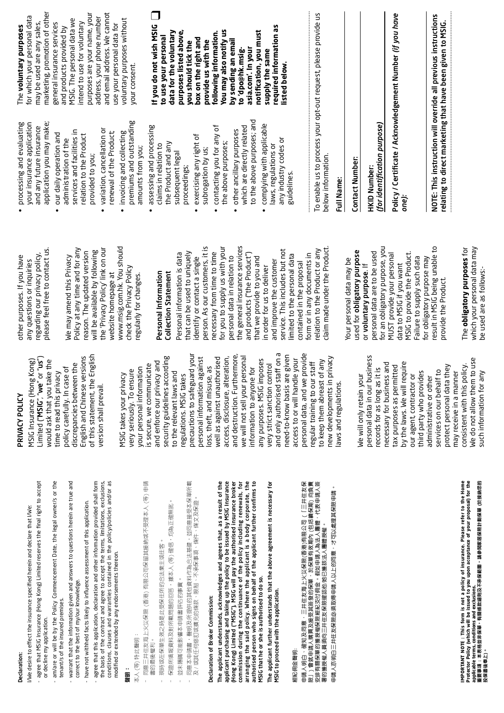## Declaration: Declaration:

- agree that MSIG Insurance (Hong Kong) Limited reserves the final right to accept agree that MSIG Insurance (Hong Kong) Limited reserves the final right to accept ffect the insurance specified herein and declare that I/We: /We desire to effect the insurance specified herein and declare that I/We: I/We desire to e
	- am/are or will be by the Policy Commencement Date, the legal owner/s or the am/are or will be by the Policy Commencement Date, the legal owner/s or the or decline my application. or decline my application.
		- tenant/s of the insured premises. tenant/s of the insured premises.
- warrant that the information given and answers to questions herein are true and warrant that the information given and answers to questions herein are true and correct to the best of my/our knowledge. correct to the best of my/our knowledge.
	- have not withheld facts likely to influence assessment of this application. have not withheld facts likely to influence assessment of this application.
- agree that this application, declaration and other information provided shall form the basis of the contract and agree to accept the terms, limitations, exclusions,<br>conditions, clauses and warranties contained in the policy/policies and/or as the basis of the contract and agree to accept the terms, limitations, exclusions, conditions, clauses and warranties contained in the policy/policies and/or as agree that this application, declaration and other information provided shall form modified or extended by any endorsements thereon. modified or extended by any endorsements thereon.

# **聲明:**

# 本人 (等) 特此聲明: 本人 (等) 特此聲明:

- 同意三井佳友海上火災保險 (香港) 有限公司保留其接納或不受理本人 (等) 申請 同意三井住友海上火災保險 (香港) 有限公司保留其接納或不受理本人 (等) 申請 書的最後權利。 書的最後權利。
- 現時或在保單生效之時是此受保住所的合法業主或住客。 現時或在保單生效之時是此受保住所的合法業主或住客
- 保證所填報資料及對所載問題的回答,據本人 (等) 確信,均為正確無訛。 保證所填報資料及對所載問題的回答,據本人 (等) 確信,均為正確無訛
- 並未隱瞞可能影響本申請書評估的事實。 並未隱瞞可能影響本申請書評估的事實。
- 同意本申請書,聲明及所提供的其他資料作為合法基礎,並同意接受本保單所載 同意本申請書,聲明及所提供的其他資料作為合法基礎,並同意接受本保單所載 及 / 或其任何修訂或擴充的條款、限制、不承保事項、條件、條文及保證。 及 / 或其任何修訂或擴充的條款、限制、不承保事項、條件、條文及保證

# Declaration of Broker Commission: Declaration of Broker Commission:

applicant purchasing and taking up the policy to be issued by MSIG Insurance arranging the said policy. Where the applicant is a body corporate, the<br>authorised person who signs on behalf of the applicant further confirms to The applicant understands, acknowledges and agrees that, as a result of the<br>applicant purchasing and taking up the policy to be issued by MSIG Insurance The applicant understands, acknowledges and agrees that, as a result of the (Hong Kong) Limited ("MSIG"), MSIG will pay the authorised insurance broker (Hong Kong) Limited ("MSIG"), MSIG will pay the authorised insurance broker commission during the continuance of the policy including renewals, for arranging the said policy. Where the applicant is a body corporate, the authorised person who signs on behalf of the applicant further confirms to commission during the continuance of the policy including renewals, for MSIG that he or she is authorised to do so. MSIG that he or she is authorised to do so.

The applicant further understands that the above agreement is necessary for The applicant further understands that the above agreement is necessary for **4SIG to proceed with the application.** MSIG to proceed with the application.

### 經紀佣金聲明: 經紀佣金 聲明:

申請人明白、確知及同意・三井住友海上火災保險(香港)有限公司(「三井住友保險」)會就申請人購買及接受其簽發的保單,於保單有效期內(色括續保期) 向負責<br>安排有關保單的獲授權保險經紀支付佣金。假如申請人為法人團體·代表申請人簽<br>署的獲授權人員須向三井住友保險確認他/她已獲該法人團體授權 。 申請人明白、確知及同意,三井住友海上火災保險(香港)有限公司 (「三井住友保 險」) 會就申請人購買及接受其簽發的保單,於保單有效期內 (包括續保期) 向負責 安排有關保單的獲授權保險經紀支付佣金。假如申請人為法人團體,代表申請人簽 申請人亦明白三井住友保險必須取得申請人以上的同意,才可以處理其保險申請。 申請人亦明白三井住友保險必須取得申請人以上的同意,才可以處理其保險申請。 署的獲授權人員須向三井住友保險確認他/她已獲該法人團體授權。

IMPORTANT NOTE : This form is not a policy of insurance. Please refer to the Home<br>applicable tems, conditions and exclusions.<br>applicable tems, conditions and exclusions.<br>投保書後奉上)。<br>投保書後奉上)。 **IMPORTANT NOTE : This form is not a policy of insurance. Please refer to the Home Protector Policy (which will be issued to you upon acceptance of your proposal) for the 重要事項 : 本表格並非保單,有關條款細則及不承保範圍,請參閱家居保險計劃保單 (於接納您的 applicable terms, conditions and exclusions. 投保書後奉上)。**

# PRIVACY POLICY PRIVACY POLICY

of this statement, the English Limited ("MSIG", "we" or "us") English and Chinese versions of this statement, the English English and Chinese versions MSIG Insurance (Hong Kong) MSIG Insurance (Hong Kong) limited ("MSIG", "we" or "us" would ask that you take the would ask that you take the discrepancies between the discrepancies between the policy carefully. In case of policy carefully. In case of time to read this privacy ime to read this privacy version shall prevail. version shall prevail.

precautions to safeguard your and destruction. Furthermore, personal data, and we provide need-to-know basis are given precautions to safeguard your and destruction. Furthermore, we will not sell your personal and only authorised staff on a bersonal data, and we provide new developments in privacy security guidelines according security guidelines according well as against unauthorised access, disclosure, alteration, need-to-know basis are given personal information against well as against unauthorised personal information against access, disclosure, alteration, we will not sell your personal any purposes. MSIG imposes access to or will handle your to keep them abreast of any hew developments in privacy and enforce our privacy and any purposes. MSIG imposes access to or will handle your and enforce our privacy and to keep them abreast of any is secure, we communicate very strict sanction control very strict sanction control  $\ddot{}$ is secure, we communicate your personal information loss, theft, and misuse, as your personal information oss, theft, and misuse, as nformation to anyone for information to anyone for very seriously. To ensure regular training to our sta very seriously. To ensure to the relevant laws and MSIG takes your privacy o the relevant laws and regulations. MSIG takes MSIG takes your privacy regulations. MSIG takes and only authorised sta aws and regulations. laws and regulations.

personal data in our business personal data in our business We do not allow them to use We do not allow them to use necessary for business and by the laws. We will require by the laws. We will require necessary for business and protect personal data they consistent with this policy. ax purposes as permitted tax purposes as permitted protect personal data they consistent with this policy ecords for as long as it is records for as long as it is services on our behalf to third party who provides services on our behalf to such information for any may receive in a manner third party who provides may receive in a manner such information for any We will only retain your our agent, contractor or our agent, contractor or Me will only retain your administrative or other administrative or other

please feel free to contact us. please feel free to contact us. regarding our privacy policy, regarding our privacy policy, other purposes. If you have other purposes. If you have any questions or inquiries any questions or inquiries

www.msig.com.hk. You should Policy at any time and for any the 'Privacy Policy' link on our www.msig.com.hk. You should the 'Privacy Policy' link on our Policy at any time and for any will be available by following will be available by following reason. The updated version reason. The updated version Ne may amend this Privacy We may amend this Privacy check the Privacy Policy check the Privacy Policy website homepage at website homepage at egularly for changes. regularly for changes.

# Personal Information Personal Information **Collection Statement**

person. As our customers, it is for you to supply us with your the general insurance services berson. As our customers, it is the general insurance services for you to supply us with your relation to the Product or any tlaim made under the Product. claim made under the Product. service. This includes but not that can be used to uniquely service. This includes but not elation to the Product or any that can be used to uniquely necessary from time to time necessary from time to time and products ("the Product") Personal information is data Personal information is data form or in any documents in and products ("the Product") imited to the personal data limited to the personal data form or in any documents in personal data in relation to personal data in relation to that we provide to you and dentify or contact a single identify or contact a single that we provide to you and and improve the customer and improve the customer contained in the proposal contained in the proposal n order for us to deliver in order for us to deliver Collection Statement

for an obligatory purpose, you result in MSIG being unable to result in MSIG being unable to for an obligatory purpose, you used for obligatory purpose personal data are to be used bersonal data are to be used **YSIG** to provide the Product. MSIG to provide the Product. used for obligatory purpose **MUST** provide your personal MUST provide your personal Failure to supply such data for obligatory purpose may Failure to supply such data for obligatory purpose may Your personal data may be our personal data may be data to MSIG if you want data to MSIG if you want or voluntary purpose. If or voluntary purpose. If provide the Product. provide the Product.

*one):* 

which your personal data may The **obligatory purposes** for The obligatory purposes for which your personal data may pe used are as follows:be used are as follows:-

processing and evaluating • processing and evaluating your insurance application application you may make; application you may make; your insurance application and any future insurance and any future insurance

- services and facilities in services and facilities in • our daily operation and our daily operation and relation to the Product elation to the Product administration of the administration of the provided to you; provided to you;
- variation, cancellation or variation, cancellation or renewal of the Product; renewal of the Product; invoicing and collecting • invoicing and collecting
- premiums and outstanding premiums and outstanding assessing and processing amounts from you; amounts from you;
	- assessing and processing the Product and any the Product and any claims in relation to claims in relation to subsequent legal subsequent legal proceedings; proceedings;
		- exercising any right of • exercising any right of subrogation by us; subrogation by us;
- contacting you for any of • contacting you for any of the above purposes; the above purposes;
- to the above purposes; and to the above purposes; and complying with applicable  $\bullet$  complying with applicable which are directly related which are directly related • other ancillary purposes other ancillary purposes any industry codes or laws, regulations or laws, regulations or

any industry codes or

guidelines.

marketing, promotion of other marketing, promotion of other purposes are your name, your and email address. We cannot purposes are your name, your and email address. We cannot for which your personal data for which your personal data address, your phone number address, your phone number voluntary purposes without MSIG. The personal data we MSIG. The personal data we voluntary purposes without may be used are any sales, intend to use for voluntary may be used are any sales, general insurance services general insurance services intend to use for voluntary use your personal data for use your personal data for The voluntary purposes The **voluntary purposes**  and products provided by and products provided by your consent. our consent.

### $\Box$ If you do not wish MSIG **If you do not wish MSIG**  required information as **required information as data for the voluntary purposes listed above, You may also notify us notification, you must following information.**  purposes listed above, following information. You may also notify us notification, you must data for the voluntary io use vour personal **to use your personal box on the right and by sending an email**  oox on the right and by sending an email provide us with the **provide us with the**  you should tick the **you should tick the asia.com'. In your**  to 'dpo@hk.msigasia.com'. In your supply the same **supply the same to 'dpo@hk.msiglisted below.**  isted below.

To enable us to process your opt-out request, please provide us To enable us to process your opt-out request, please provide us below information. below information.

## Full Name: Full Name:

Contact Number:

Contact Number:

*(for identification purpose)*  (for identification purpose) HKID Number: HKID Number:

Acknowledgement Number *(if you have*  Policy / Certificate / Acknowledgement Number (if you have Policy / Certificate /

OTE: This instruction will override all previous instructions NOTE: This instruction will override all previous instructions relating to direct marketing that have been given to MSIG. relating to direct marketing that have been given to MSIG.